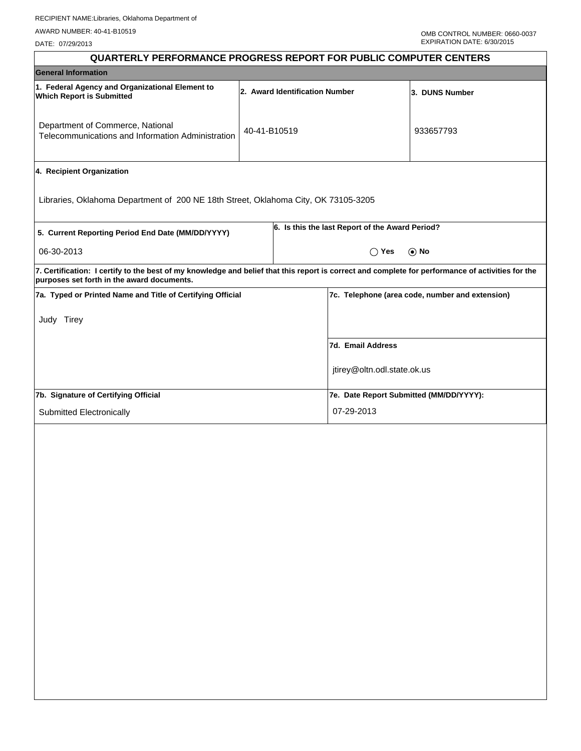DATE: 07/29/2013

| <b>QUARTERLY PERFORMANCE PROGRESS REPORT FOR PUBLIC COMPUTER CENTERS</b>                                                                                                                        |              |                                |                                                 |                                                 |
|-------------------------------------------------------------------------------------------------------------------------------------------------------------------------------------------------|--------------|--------------------------------|-------------------------------------------------|-------------------------------------------------|
| <b>General Information</b>                                                                                                                                                                      |              |                                |                                                 |                                                 |
| 1. Federal Agency and Organizational Element to<br><b>Which Report is Submitted</b>                                                                                                             |              | 2. Award Identification Number |                                                 | 3. DUNS Number                                  |
| Department of Commerce, National<br>Telecommunications and Information Administration                                                                                                           | 40-41-B10519 |                                |                                                 | 933657793                                       |
| 4. Recipient Organization                                                                                                                                                                       |              |                                |                                                 |                                                 |
| Libraries, Oklahoma Department of 200 NE 18th Street, Oklahoma City, OK 73105-3205                                                                                                              |              |                                |                                                 |                                                 |
| 5. Current Reporting Period End Date (MM/DD/YYYY)                                                                                                                                               |              |                                | 6. Is this the last Report of the Award Period? |                                                 |
| 06-30-2013                                                                                                                                                                                      |              |                                | $\bigcap$ Yes                                   | $\odot$ No                                      |
| 7. Certification: I certify to the best of my knowledge and belief that this report is correct and complete for performance of activities for the<br>purposes set forth in the award documents. |              |                                |                                                 |                                                 |
| 7a. Typed or Printed Name and Title of Certifying Official                                                                                                                                      |              |                                |                                                 | 7c. Telephone (area code, number and extension) |
| Judy Tirey                                                                                                                                                                                      |              |                                |                                                 |                                                 |
|                                                                                                                                                                                                 |              |                                | 7d. Email Address                               |                                                 |
|                                                                                                                                                                                                 |              |                                | jtirey@oltn.odl.state.ok.us                     |                                                 |
| 7b. Signature of Certifying Official                                                                                                                                                            |              |                                | 7e. Date Report Submitted (MM/DD/YYYY):         |                                                 |
| Submitted Electronically                                                                                                                                                                        |              |                                | 07-29-2013                                      |                                                 |
|                                                                                                                                                                                                 |              |                                |                                                 |                                                 |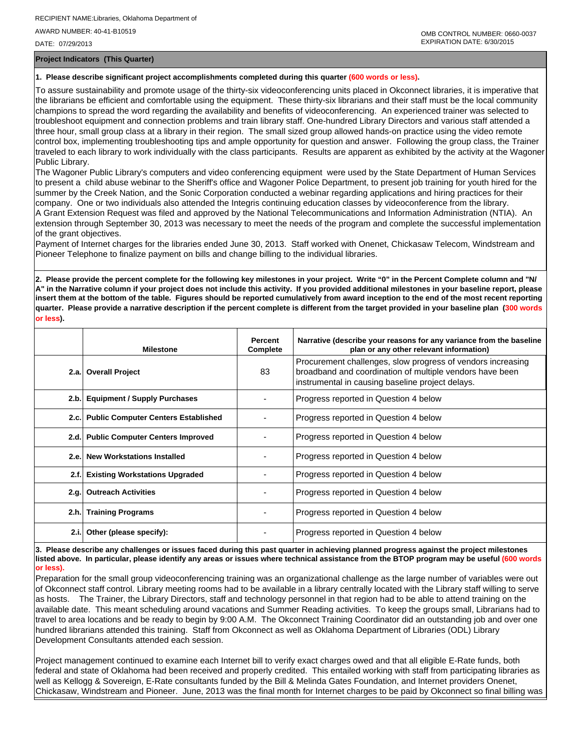DATE: 07/29/2013

**Project Indicators (This Quarter)**

## **1. Please describe significant project accomplishments completed during this quarter (600 words or less).**

To assure sustainability and promote usage of the thirty-six videoconferencing units placed in Okconnect libraries, it is imperative that the librarians be efficient and comfortable using the equipment. These thirty-six librarians and their staff must be the local community champions to spread the word regarding the availability and benefits of videoconferencing. An experienced trainer was selected to troubleshoot equipment and connection problems and train library staff. One-hundred Library Directors and various staff attended a three hour, small group class at a library in their region. The small sized group allowed hands-on practice using the video remote control box, implementing troubleshooting tips and ample opportunity for question and answer. Following the group class, the Trainer traveled to each library to work individually with the class participants. Results are apparent as exhibited by the activity at the Wagoner Public Library.

The Wagoner Public Library's computers and video conferencing equipment were used by the State Department of Human Services to present a child abuse webinar to the Sheriff's office and Wagoner Police Department, to present job training for youth hired for the summer by the Creek Nation, and the Sonic Corporation conducted a webinar regarding applications and hiring practices for their company. One or two individuals also attended the Integris continuing education classes by videoconference from the library. A Grant Extension Request was filed and approved by the National Telecommunications and Information Administration (NTIA). An extension through September 30, 2013 was necessary to meet the needs of the program and complete the successful implementation of the grant objectives.

Payment of Internet charges for the libraries ended June 30, 2013. Staff worked with Onenet, Chickasaw Telecom, Windstream and Pioneer Telephone to finalize payment on bills and change billing to the individual libraries.

**2. Please provide the percent complete for the following key milestones in your project. Write "0" in the Percent Complete column and "N/ A" in the Narrative column if your project does not include this activity. If you provided additional milestones in your baseline report, please insert them at the bottom of the table. Figures should be reported cumulatively from award inception to the end of the most recent reporting quarter. Please provide a narrative description if the percent complete is different from the target provided in your baseline plan (300 words or less).**

|       | <b>Milestone</b>                         | Percent<br>Complete | Narrative (describe your reasons for any variance from the baseline<br>plan or any other relevant information)                                                              |
|-------|------------------------------------------|---------------------|-----------------------------------------------------------------------------------------------------------------------------------------------------------------------------|
|       | 2.a. Overall Project                     | 83                  | Procurement challenges, slow progress of vendors increasing<br>broadband and coordination of multiple vendors have been<br>instrumental in causing baseline project delays. |
|       | 2.b. Equipment / Supply Purchases        |                     | Progress reported in Question 4 below                                                                                                                                       |
|       | 2.c. Public Computer Centers Established |                     | Progress reported in Question 4 below                                                                                                                                       |
|       | 2.d. Public Computer Centers Improved    |                     | Progress reported in Question 4 below                                                                                                                                       |
|       | 2.e. New Workstations Installed          |                     | Progress reported in Question 4 below                                                                                                                                       |
| 2.f.  | <b>Existing Workstations Upgraded</b>    |                     | Progress reported in Question 4 below                                                                                                                                       |
|       | 2.g. Outreach Activities                 |                     | Progress reported in Question 4 below                                                                                                                                       |
|       | 2.h. Training Programs                   |                     | Progress reported in Question 4 below                                                                                                                                       |
| 2.i.1 | Other (please specify):                  |                     | Progress reported in Question 4 below                                                                                                                                       |

**3. Please describe any challenges or issues faced during this past quarter in achieving planned progress against the project milestones listed above. In particular, please identify any areas or issues where technical assistance from the BTOP program may be useful (600 words or less).**

Preparation for the small group videoconferencing training was an organizational challenge as the large number of variables were out of Okconnect staff control. Library meeting rooms had to be available in a library centrally located with the Library staff willing to serve as hosts. The Trainer, the Library Directors, staff and technology personnel in that region had to be able to attend training on the available date. This meant scheduling around vacations and Summer Reading activities. To keep the groups small, Librarians had to travel to area locations and be ready to begin by 9:00 A.M. The Okconnect Training Coordinator did an outstanding job and over one hundred librarians attended this training. Staff from Okconnect as well as Oklahoma Department of Libraries (ODL) Library Development Consultants attended each session.

Project management continued to examine each Internet bill to verify exact charges owed and that all eligible E-Rate funds, both federal and state of Oklahoma had been received and properly credited. This entailed working with staff from participating libraries as well as Kellogg & Sovereign, E-Rate consultants funded by the Bill & Melinda Gates Foundation, and Internet providers Onenet, Chickasaw, Windstream and Pioneer. June, 2013 was the final month for Internet charges to be paid by Okconnect so final billing was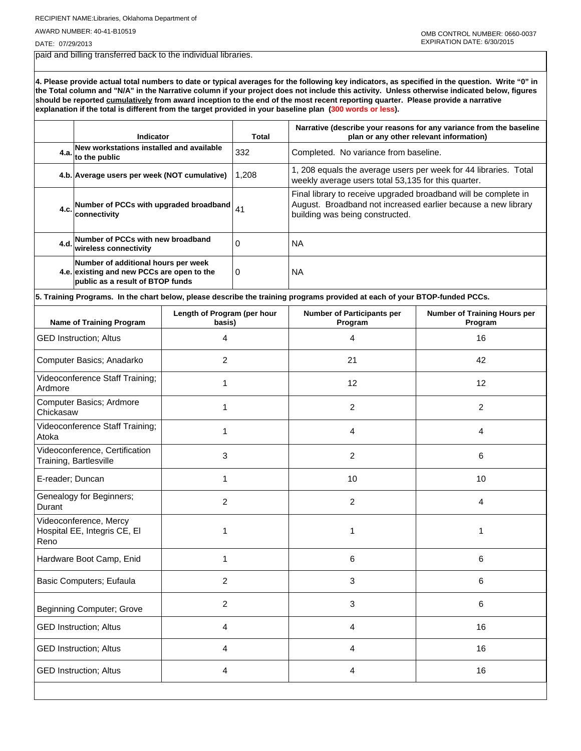RECIPIENT NAME:Libraries, Oklahoma Department of

AWARD NUMBER: 40-41-B10519

DATE: 07/29/2013

paid and billing transferred back to the individual libraries.

**4. Please provide actual total numbers to date or typical averages for the following key indicators, as specified in the question. Write "0" in the Total column and "N/A" in the Narrative column if your project does not include this activity. Unless otherwise indicated below, figures should be reported cumulatively from award inception to the end of the most recent reporting quarter. Please provide a narrative explanation if the total is different from the target provided in your baseline plan (300 words or less).** 

| New workstations installed and available<br>332<br>Completed. No variance from baseline.<br>4.a.<br>to the public<br>1, 208 equals the average users per week for 44 libraries. Total<br>1,208<br>4.b. Average users per week (NOT cumulative)<br>weekly average users total 53,135 for this quarter.<br>Final library to receive upgraded broadband will be complete in<br>August. Broadband not increased earlier because a new library<br>Number of PCCs with upgraded broadband<br>41<br>4.c.<br>connectivity<br>building was being constructed.<br>Number of PCCs with new broadband<br>$\Omega$<br>4.d.<br><b>NA</b><br>wireless connectivity<br>Number of additional hours per week<br>4.e. existing and new PCCs are open to the<br><b>NA</b><br>0<br>public as a result of BTOP funds<br>5. Training Programs. In the chart below, please describe the training programs provided at each of your BTOP-funded PCCs.<br>Length of Program (per hour<br><b>Number of Participants per</b><br><b>Name of Training Program</b><br>Program<br>basis)<br>Program<br>4<br>16<br><b>GED Instruction; Altus</b><br>4<br>Computer Basics; Anadarko<br>2<br>21<br>42<br>Videoconference Staff Training;<br>12<br>12<br>1<br>Ardmore<br>Computer Basics; Ardmore<br>2<br>$\overline{2}$<br>1<br>Chickasaw<br>Videoconference Staff Training;<br>1<br>4<br>4<br>Atoka<br>Videoconference, Certification<br>3<br>2<br>6<br>Training, Bartlesville<br>E-reader; Duncan<br>1<br>10<br>10<br>Genealogy for Beginners;<br>2<br>2<br>4<br>Durant<br>Videoconference, Mercy<br>Hospital EE, Integris CE, EI<br>1<br>1<br>1<br>Reno<br>Hardware Boot Camp, Enid<br>1<br>6<br>6<br>Basic Computers; Eufaula<br>$\overline{2}$<br>$\mathbf{3}$<br>6<br>$\overline{c}$<br>$\mathbf{3}$<br>6<br><b>Beginning Computer; Grove</b><br><b>GED Instruction; Altus</b><br>16<br>4<br>4 | Indicator |  | Total | Narrative (describe your reasons for any variance from the baseline<br>plan or any other relevant information) |                                     |  |
|-------------------------------------------------------------------------------------------------------------------------------------------------------------------------------------------------------------------------------------------------------------------------------------------------------------------------------------------------------------------------------------------------------------------------------------------------------------------------------------------------------------------------------------------------------------------------------------------------------------------------------------------------------------------------------------------------------------------------------------------------------------------------------------------------------------------------------------------------------------------------------------------------------------------------------------------------------------------------------------------------------------------------------------------------------------------------------------------------------------------------------------------------------------------------------------------------------------------------------------------------------------------------------------------------------------------------------------------------------------------------------------------------------------------------------------------------------------------------------------------------------------------------------------------------------------------------------------------------------------------------------------------------------------------------------------------------------------------------------------------------------------------------------------------------------------------------------------------------------------------|-----------|--|-------|----------------------------------------------------------------------------------------------------------------|-------------------------------------|--|
|                                                                                                                                                                                                                                                                                                                                                                                                                                                                                                                                                                                                                                                                                                                                                                                                                                                                                                                                                                                                                                                                                                                                                                                                                                                                                                                                                                                                                                                                                                                                                                                                                                                                                                                                                                                                                                                                   |           |  |       |                                                                                                                |                                     |  |
|                                                                                                                                                                                                                                                                                                                                                                                                                                                                                                                                                                                                                                                                                                                                                                                                                                                                                                                                                                                                                                                                                                                                                                                                                                                                                                                                                                                                                                                                                                                                                                                                                                                                                                                                                                                                                                                                   |           |  |       |                                                                                                                |                                     |  |
|                                                                                                                                                                                                                                                                                                                                                                                                                                                                                                                                                                                                                                                                                                                                                                                                                                                                                                                                                                                                                                                                                                                                                                                                                                                                                                                                                                                                                                                                                                                                                                                                                                                                                                                                                                                                                                                                   |           |  |       |                                                                                                                |                                     |  |
|                                                                                                                                                                                                                                                                                                                                                                                                                                                                                                                                                                                                                                                                                                                                                                                                                                                                                                                                                                                                                                                                                                                                                                                                                                                                                                                                                                                                                                                                                                                                                                                                                                                                                                                                                                                                                                                                   |           |  |       |                                                                                                                |                                     |  |
|                                                                                                                                                                                                                                                                                                                                                                                                                                                                                                                                                                                                                                                                                                                                                                                                                                                                                                                                                                                                                                                                                                                                                                                                                                                                                                                                                                                                                                                                                                                                                                                                                                                                                                                                                                                                                                                                   |           |  |       |                                                                                                                |                                     |  |
|                                                                                                                                                                                                                                                                                                                                                                                                                                                                                                                                                                                                                                                                                                                                                                                                                                                                                                                                                                                                                                                                                                                                                                                                                                                                                                                                                                                                                                                                                                                                                                                                                                                                                                                                                                                                                                                                   |           |  |       |                                                                                                                |                                     |  |
|                                                                                                                                                                                                                                                                                                                                                                                                                                                                                                                                                                                                                                                                                                                                                                                                                                                                                                                                                                                                                                                                                                                                                                                                                                                                                                                                                                                                                                                                                                                                                                                                                                                                                                                                                                                                                                                                   |           |  |       |                                                                                                                | <b>Number of Training Hours per</b> |  |
|                                                                                                                                                                                                                                                                                                                                                                                                                                                                                                                                                                                                                                                                                                                                                                                                                                                                                                                                                                                                                                                                                                                                                                                                                                                                                                                                                                                                                                                                                                                                                                                                                                                                                                                                                                                                                                                                   |           |  |       |                                                                                                                |                                     |  |
|                                                                                                                                                                                                                                                                                                                                                                                                                                                                                                                                                                                                                                                                                                                                                                                                                                                                                                                                                                                                                                                                                                                                                                                                                                                                                                                                                                                                                                                                                                                                                                                                                                                                                                                                                                                                                                                                   |           |  |       |                                                                                                                |                                     |  |
|                                                                                                                                                                                                                                                                                                                                                                                                                                                                                                                                                                                                                                                                                                                                                                                                                                                                                                                                                                                                                                                                                                                                                                                                                                                                                                                                                                                                                                                                                                                                                                                                                                                                                                                                                                                                                                                                   |           |  |       |                                                                                                                |                                     |  |
|                                                                                                                                                                                                                                                                                                                                                                                                                                                                                                                                                                                                                                                                                                                                                                                                                                                                                                                                                                                                                                                                                                                                                                                                                                                                                                                                                                                                                                                                                                                                                                                                                                                                                                                                                                                                                                                                   |           |  |       |                                                                                                                |                                     |  |
|                                                                                                                                                                                                                                                                                                                                                                                                                                                                                                                                                                                                                                                                                                                                                                                                                                                                                                                                                                                                                                                                                                                                                                                                                                                                                                                                                                                                                                                                                                                                                                                                                                                                                                                                                                                                                                                                   |           |  |       |                                                                                                                |                                     |  |
|                                                                                                                                                                                                                                                                                                                                                                                                                                                                                                                                                                                                                                                                                                                                                                                                                                                                                                                                                                                                                                                                                                                                                                                                                                                                                                                                                                                                                                                                                                                                                                                                                                                                                                                                                                                                                                                                   |           |  |       |                                                                                                                |                                     |  |
|                                                                                                                                                                                                                                                                                                                                                                                                                                                                                                                                                                                                                                                                                                                                                                                                                                                                                                                                                                                                                                                                                                                                                                                                                                                                                                                                                                                                                                                                                                                                                                                                                                                                                                                                                                                                                                                                   |           |  |       |                                                                                                                |                                     |  |
|                                                                                                                                                                                                                                                                                                                                                                                                                                                                                                                                                                                                                                                                                                                                                                                                                                                                                                                                                                                                                                                                                                                                                                                                                                                                                                                                                                                                                                                                                                                                                                                                                                                                                                                                                                                                                                                                   |           |  |       |                                                                                                                |                                     |  |
|                                                                                                                                                                                                                                                                                                                                                                                                                                                                                                                                                                                                                                                                                                                                                                                                                                                                                                                                                                                                                                                                                                                                                                                                                                                                                                                                                                                                                                                                                                                                                                                                                                                                                                                                                                                                                                                                   |           |  |       |                                                                                                                |                                     |  |
|                                                                                                                                                                                                                                                                                                                                                                                                                                                                                                                                                                                                                                                                                                                                                                                                                                                                                                                                                                                                                                                                                                                                                                                                                                                                                                                                                                                                                                                                                                                                                                                                                                                                                                                                                                                                                                                                   |           |  |       |                                                                                                                |                                     |  |
|                                                                                                                                                                                                                                                                                                                                                                                                                                                                                                                                                                                                                                                                                                                                                                                                                                                                                                                                                                                                                                                                                                                                                                                                                                                                                                                                                                                                                                                                                                                                                                                                                                                                                                                                                                                                                                                                   |           |  |       |                                                                                                                |                                     |  |
|                                                                                                                                                                                                                                                                                                                                                                                                                                                                                                                                                                                                                                                                                                                                                                                                                                                                                                                                                                                                                                                                                                                                                                                                                                                                                                                                                                                                                                                                                                                                                                                                                                                                                                                                                                                                                                                                   |           |  |       |                                                                                                                |                                     |  |
|                                                                                                                                                                                                                                                                                                                                                                                                                                                                                                                                                                                                                                                                                                                                                                                                                                                                                                                                                                                                                                                                                                                                                                                                                                                                                                                                                                                                                                                                                                                                                                                                                                                                                                                                                                                                                                                                   |           |  |       |                                                                                                                |                                     |  |
| <b>GED Instruction; Altus</b><br>4<br>4                                                                                                                                                                                                                                                                                                                                                                                                                                                                                                                                                                                                                                                                                                                                                                                                                                                                                                                                                                                                                                                                                                                                                                                                                                                                                                                                                                                                                                                                                                                                                                                                                                                                                                                                                                                                                           |           |  |       |                                                                                                                | 16                                  |  |
| <b>GED Instruction; Altus</b><br>16<br>4<br>4                                                                                                                                                                                                                                                                                                                                                                                                                                                                                                                                                                                                                                                                                                                                                                                                                                                                                                                                                                                                                                                                                                                                                                                                                                                                                                                                                                                                                                                                                                                                                                                                                                                                                                                                                                                                                     |           |  |       |                                                                                                                |                                     |  |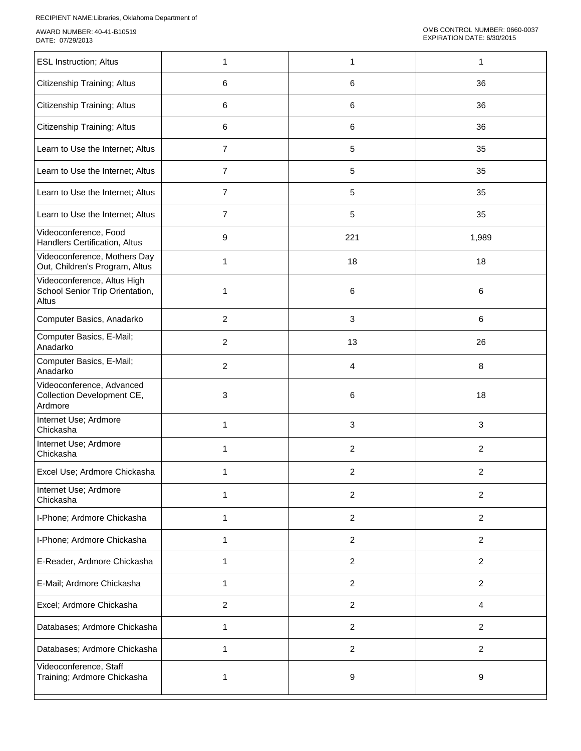| <b>ESL Instruction; Altus</b>                                           | 1                       | $\mathbf{1}$   | $\mathbf{1}$     |
|-------------------------------------------------------------------------|-------------------------|----------------|------------------|
| Citizenship Training; Altus                                             | 6                       | 6              | 36               |
| Citizenship Training; Altus                                             | 6                       | 6              | 36               |
| Citizenship Training; Altus                                             | 6                       | 6              | 36               |
| Learn to Use the Internet; Altus                                        | $\overline{7}$          | 5              | 35               |
| Learn to Use the Internet; Altus                                        | $\overline{7}$          | 5              | 35               |
| Learn to Use the Internet; Altus                                        | $\overline{7}$          | 5              | 35               |
| Learn to Use the Internet; Altus                                        | $\overline{7}$          | 5              | 35               |
| Videoconference, Food<br>Handlers Certification, Altus                  | 9                       | 221            | 1,989            |
| Videoconference, Mothers Day<br>Out, Children's Program, Altus          | 1                       | 18             | 18               |
| Videoconference, Altus High<br>School Senior Trip Orientation,<br>Altus | 1                       | 6              | 6                |
| Computer Basics, Anadarko                                               | $\overline{c}$          | 3              | 6                |
| Computer Basics, E-Mail;<br>Anadarko                                    | $\overline{\mathbf{c}}$ | 13             | 26               |
| Computer Basics, E-Mail;<br>Anadarko                                    | $\overline{c}$          | 4              | 8                |
| Videoconference, Advanced<br>Collection Development CE,<br>Ardmore      | 3                       | 6              | 18               |
| Internet Use; Ardmore<br>Chickasha                                      | 1                       | 3              | $\mathbf{3}$     |
| Internet Use; Ardmore<br>Chickasha                                      | 1                       | $\overline{c}$ | $\overline{2}$   |
| Excel Use; Ardmore Chickasha                                            | 1                       | $\overline{c}$ | $\boldsymbol{2}$ |
| Internet Use; Ardmore<br>Chickasha                                      | 1                       | $\overline{c}$ | $\overline{c}$   |
| I-Phone; Ardmore Chickasha                                              | 1                       | $\overline{2}$ | $\overline{2}$   |
| I-Phone; Ardmore Chickasha                                              | 1                       | $\overline{c}$ | $\overline{2}$   |
| E-Reader, Ardmore Chickasha                                             | 1                       | $\overline{2}$ | $\overline{2}$   |
| E-Mail; Ardmore Chickasha                                               | 1                       | $\overline{2}$ | $\overline{2}$   |
| Excel; Ardmore Chickasha                                                | $\overline{2}$          | $\overline{2}$ | 4                |
| Databases; Ardmore Chickasha                                            | $\mathbf{1}$            | $\overline{c}$ | $\overline{2}$   |
| Databases; Ardmore Chickasha                                            | 1                       | $\overline{c}$ | $\overline{c}$   |
| Videoconference, Staff<br>Training; Ardmore Chickasha                   | 1                       | 9              | 9                |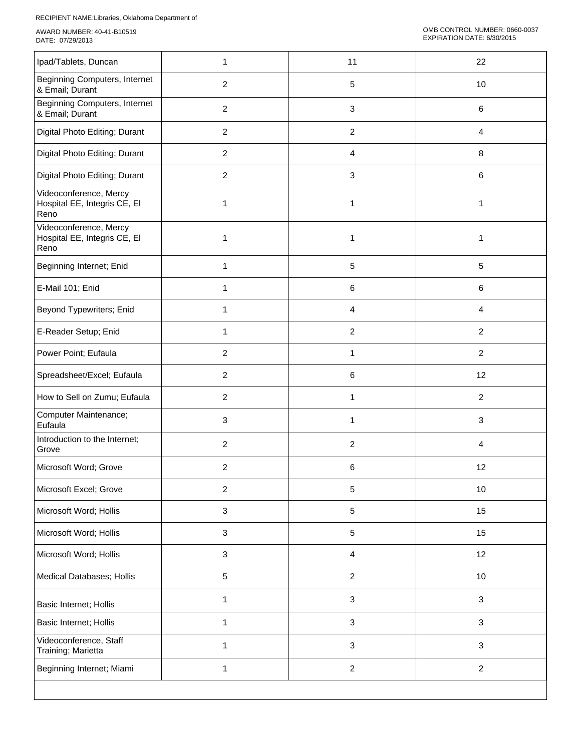| Ipad/Tablets, Duncan                                           | 1              | 11                        | 22               |
|----------------------------------------------------------------|----------------|---------------------------|------------------|
| Beginning Computers, Internet<br>& Email; Durant               | $\overline{2}$ | 5                         | 10               |
| Beginning Computers, Internet<br>& Email; Durant               | $\overline{c}$ | $\ensuremath{\mathsf{3}}$ | $\,6\,$          |
| Digital Photo Editing; Durant                                  | $\overline{2}$ | $\boldsymbol{2}$          | $\overline{4}$   |
| Digital Photo Editing; Durant                                  | $\overline{2}$ | 4                         | $\,8\,$          |
| Digital Photo Editing; Durant                                  | $\overline{c}$ | $\ensuremath{\mathsf{3}}$ | $\,6\,$          |
| Videoconference, Mercy<br>Hospital EE, Integris CE, EI<br>Reno | 1              | $\mathbf{1}$              | 1                |
| Videoconference, Mercy<br>Hospital EE, Integris CE, EI<br>Reno |                | $\mathbf{1}$              | 1                |
| Beginning Internet; Enid                                       | $\mathbf{1}$   | $\sqrt{5}$                | $\sqrt{5}$       |
| E-Mail 101; Enid                                               | 1              | 6                         | 6                |
| Beyond Typewriters; Enid                                       | 1              | 4                         | 4                |
| E-Reader Setup; Enid                                           | 1              | $\overline{c}$            | $\overline{2}$   |
| Power Point; Eufaula                                           | $\overline{2}$ | 1                         | $\overline{c}$   |
| Spreadsheet/Excel; Eufaula                                     | $\overline{c}$ | 6                         | 12               |
| How to Sell on Zumu; Eufaula                                   | $\overline{2}$ | 1                         | $\overline{c}$   |
| Computer Maintenance;<br>Eufaula                               | 3              | 1                         | $\mathbf{3}$     |
| Introduction to the Internet;<br>Grove                         | $\overline{2}$ | $\overline{c}$            | 4                |
| Microsoft Word; Grove                                          | $\overline{c}$ | 6                         | 12               |
| Microsoft Excel; Grove                                         | $\overline{2}$ | 5                         | 10               |
| Microsoft Word; Hollis                                         | 3              | $\sqrt{5}$                | 15               |
| Microsoft Word; Hollis                                         | 3              | $\sqrt{5}$                | 15               |
| Microsoft Word; Hollis                                         | 3              | 4                         | 12               |
| Medical Databases; Hollis                                      | 5              | $\boldsymbol{2}$          | 10               |
| Basic Internet; Hollis                                         | 1              | $\ensuremath{\mathsf{3}}$ | $\sqrt{3}$       |
| Basic Internet; Hollis                                         | 1              | $\ensuremath{\mathsf{3}}$ | $\sqrt{3}$       |
| Videoconference, Staff<br>Training; Marietta                   | 1              | $\ensuremath{\mathsf{3}}$ | $\sqrt{3}$       |
| Beginning Internet; Miami                                      | 1              | $\boldsymbol{2}$          | $\boldsymbol{2}$ |
|                                                                |                |                           |                  |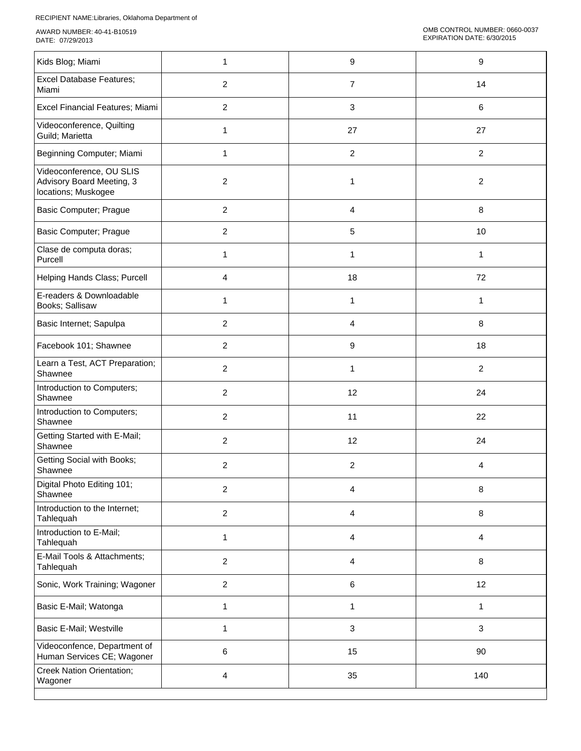| Kids Blog; Miami                                                             | 1              | 9                | 9              |
|------------------------------------------------------------------------------|----------------|------------------|----------------|
| <b>Excel Database Features;</b><br>Miami                                     | $\overline{2}$ | $\overline{7}$   | 14             |
| Excel Financial Features; Miami                                              | $\overline{2}$ | 3                | 6              |
| Videoconference, Quilting<br>Guild; Marietta                                 | 1              | 27               | 27             |
| Beginning Computer; Miami                                                    | 1              | $\boldsymbol{2}$ | $\overline{2}$ |
| Videoconference, OU SLIS<br>Advisory Board Meeting, 3<br>locations; Muskogee | $\overline{c}$ | 1                | 2              |
| Basic Computer; Prague                                                       | $\overline{c}$ | 4                | 8              |
| Basic Computer; Prague                                                       | $\overline{2}$ | 5                | 10             |
| Clase de computa doras;<br>Purcell                                           | 1              | 1                | 1              |
| Helping Hands Class; Purcell                                                 | 4              | 18               | 72             |
| E-readers & Downloadable<br>Books; Sallisaw                                  | 1              | 1                | 1              |
| Basic Internet; Sapulpa                                                      | $\overline{c}$ | 4                | 8              |
| Facebook 101; Shawnee                                                        | $\overline{2}$ | 9                | 18             |
| Learn a Test, ACT Preparation;<br>Shawnee                                    | $\overline{2}$ | 1                | $\overline{2}$ |
| Introduction to Computers;<br>Shawnee                                        | $\overline{2}$ | 12               | 24             |
| Introduction to Computers;<br>Shawnee                                        | $\overline{2}$ | 11               | 22             |
| Getting Started with E-Mail;<br>Shawnee                                      | $\overline{2}$ | 12               | 24             |
| <b>Getting Social with Books;</b><br>Shawnee                                 | 2              | $\overline{c}$   | 4              |
| Digital Photo Editing 101;<br>Shawnee                                        | $\overline{2}$ | 4                | 8              |
| Introduction to the Internet;<br>Tahlequah                                   | $\overline{2}$ | 4                | 8              |
| Introduction to E-Mail;<br>Tahlequah                                         | 1              | 4                | 4              |
| E-Mail Tools & Attachments;<br>Tahlequah                                     | $\overline{2}$ | 4                | 8              |
| Sonic, Work Training; Wagoner                                                | $\overline{2}$ | 6                | 12             |
| Basic E-Mail; Watonga                                                        | 1              | 1                | $\mathbf{1}$   |
| Basic E-Mail; Westville                                                      | 1              | $\mathbf{3}$     | 3              |
| Videoconfence, Department of<br>Human Services CE; Wagoner                   | 6              | 15               | 90             |
| <b>Creek Nation Orientation;</b><br>Wagoner                                  | 4              | 35               | 140            |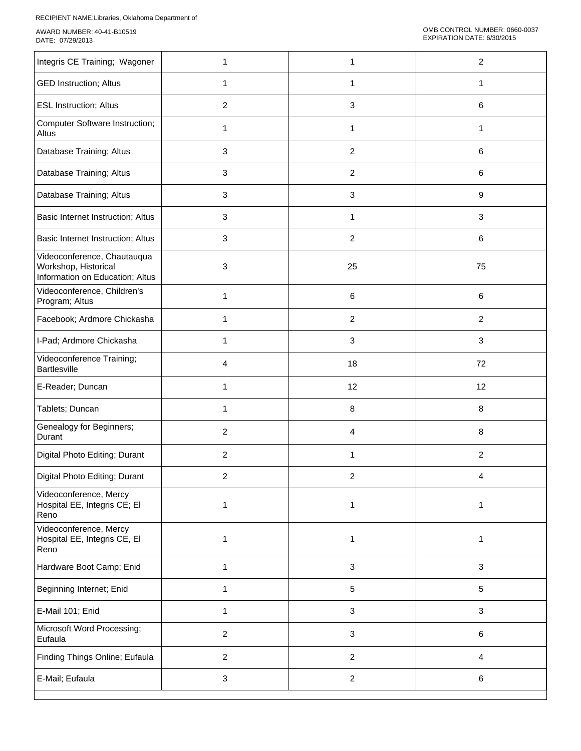| Integris CE Training; Wagoner                                                          | 1                       | 1                       | $\overline{c}$  |
|----------------------------------------------------------------------------------------|-------------------------|-------------------------|-----------------|
| <b>GED Instruction; Altus</b>                                                          | 1                       | 1                       | 1               |
| <b>ESL Instruction; Altus</b>                                                          | $\overline{\mathbf{c}}$ | 3                       | 6               |
| Computer Software Instruction;<br>Altus                                                | 1                       | $\mathbf{1}$            | 1               |
| Database Training; Altus                                                               | 3                       | $\overline{c}$          | 6               |
| Database Training; Altus                                                               | 3                       | $\overline{\mathbf{c}}$ | 6               |
| Database Training; Altus                                                               | 3                       | 3                       | 9               |
| Basic Internet Instruction; Altus                                                      | 3                       | 1                       | $\mathbf{3}$    |
| Basic Internet Instruction; Altus                                                      | 3                       | $\overline{c}$          | 6               |
| Videoconference, Chautauqua<br>Workshop, Historical<br>Information on Education; Altus | 3                       | 25                      | 75              |
| Videoconference, Children's<br>Program; Altus                                          | 1                       | 6                       | 6               |
| Facebook; Ardmore Chickasha                                                            | 1                       | $\overline{c}$          | $\overline{2}$  |
| I-Pad; Ardmore Chickasha                                                               | 1                       | 3                       | $\mathbf{3}$    |
| Videoconference Training;<br><b>Bartlesville</b>                                       | 4                       | 18                      | 72              |
| E-Reader; Duncan                                                                       | 1                       | 12                      | 12              |
| Tablets; Duncan                                                                        | 1                       | 8                       | 8               |
| Genealogy for Beginners;<br>Durant                                                     | $\overline{\mathbf{c}}$ | 4                       | 8               |
| Digital Photo Editing; Durant                                                          | $\overline{c}$          | 1                       | $\overline{c}$  |
| Digital Photo Editing; Durant                                                          | 2                       | $\overline{\mathbf{c}}$ | 4               |
| Videoconference, Mercy<br>Hospital EE, Integris CE; EI<br>Reno                         | $\mathbf{1}$            | $\mathbf{1}$            | $\mathbf{1}$    |
| Videoconference, Mercy<br>Hospital EE, Integris CE, EI<br>Reno                         | 1                       | $\mathbf{1}$            | $\mathbf{1}$    |
| Hardware Boot Camp; Enid                                                               | $\mathbf{1}$            | $\mathbf 3$             | $\mathbf{3}$    |
| Beginning Internet; Enid                                                               | 1                       | 5                       | $5\phantom{.0}$ |
| E-Mail 101; Enid                                                                       | 1                       | $\sqrt{3}$              | $\mathbf{3}$    |
| Microsoft Word Processing;<br>Eufaula                                                  | $\overline{a}$          | $\sqrt{3}$              | $\,6$           |
| Finding Things Online; Eufaula                                                         | $\overline{c}$          | $\overline{c}$          | $\overline{4}$  |
| E-Mail; Eufaula                                                                        | 3                       | $\overline{c}$          | $\,6$           |
|                                                                                        |                         |                         |                 |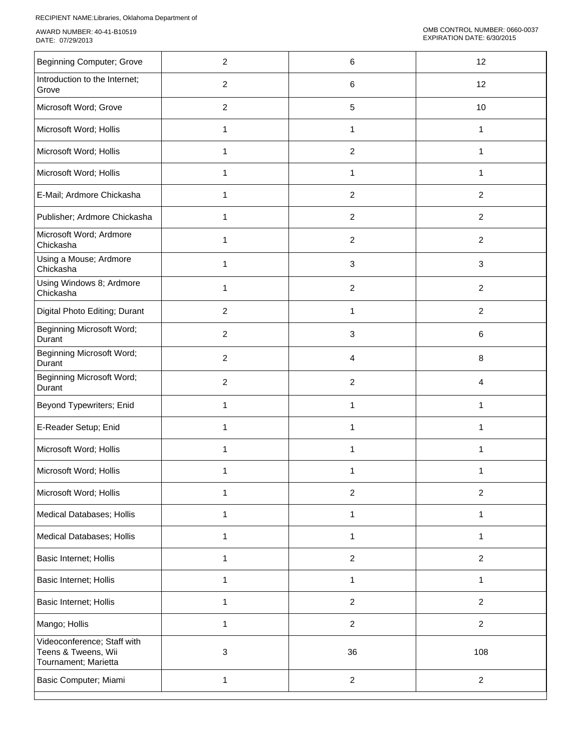| <b>Beginning Computer; Grove</b>                                           | $\overline{c}$ | 6                         | 12               |
|----------------------------------------------------------------------------|----------------|---------------------------|------------------|
| Introduction to the Internet;<br>Grove                                     | $\overline{c}$ | 6                         | 12               |
| Microsoft Word; Grove                                                      | $\overline{c}$ | $\sqrt{5}$                | 10               |
| Microsoft Word; Hollis                                                     | $\mathbf{1}$   | $\mathbf{1}$              | $\mathbf{1}$     |
| Microsoft Word; Hollis                                                     | 1              | $\boldsymbol{2}$          | 1                |
| Microsoft Word; Hollis                                                     | 1              | 1                         | 1                |
| E-Mail; Ardmore Chickasha                                                  | 1              | $\overline{c}$            | $\overline{c}$   |
| Publisher; Ardmore Chickasha                                               |                | $\overline{c}$            | $\overline{2}$   |
| Microsoft Word; Ardmore<br>Chickasha                                       |                | $\overline{c}$            | $\boldsymbol{2}$ |
| Using a Mouse; Ardmore<br>Chickasha                                        | 1              | $\mathbf{3}$              | $\mathbf{3}$     |
| Using Windows 8; Ardmore<br>Chickasha                                      | 1              | $\overline{c}$            | $\overline{2}$   |
| Digital Photo Editing; Durant                                              | $\overline{2}$ | $\mathbf{1}$              | $\overline{2}$   |
| <b>Beginning Microsoft Word;</b><br>Durant                                 | $\overline{2}$ | $\ensuremath{\mathsf{3}}$ | 6                |
| <b>Beginning Microsoft Word;</b><br>Durant                                 | $\overline{c}$ | 4                         | $\,8\,$          |
| <b>Beginning Microsoft Word;</b><br>Durant                                 | $\overline{2}$ | $\overline{c}$            | 4                |
| Beyond Typewriters; Enid                                                   | 1              | 1                         | 1                |
| E-Reader Setup; Enid                                                       | 1              | 1                         | 1                |
| Microsoft Word; Hollis                                                     | 1              | 1                         | 1                |
| Microsoft Word; Hollis                                                     | 1              | 1                         | 1                |
| Microsoft Word; Hollis                                                     | 1              | $\boldsymbol{2}$          | $\boldsymbol{2}$ |
| Medical Databases; Hollis                                                  | 1              | 1                         | $\mathbf{1}$     |
| Medical Databases; Hollis                                                  | 1              | 1                         | 1                |
| Basic Internet; Hollis                                                     | 1              | $\overline{2}$            | $\overline{2}$   |
| Basic Internet; Hollis                                                     | 1              | 1                         | 1                |
| Basic Internet; Hollis                                                     | 1              | $\overline{c}$            | $\overline{2}$   |
| Mango; Hollis                                                              | $\mathbf{1}$   | $\overline{2}$            | $\overline{2}$   |
| Videoconference; Staff with<br>Teens & Tweens, Wii<br>Tournament; Marietta | 3              | 36                        | 108              |
| Basic Computer; Miami                                                      | 1              | $\overline{2}$            | $\boldsymbol{2}$ |
|                                                                            |                |                           |                  |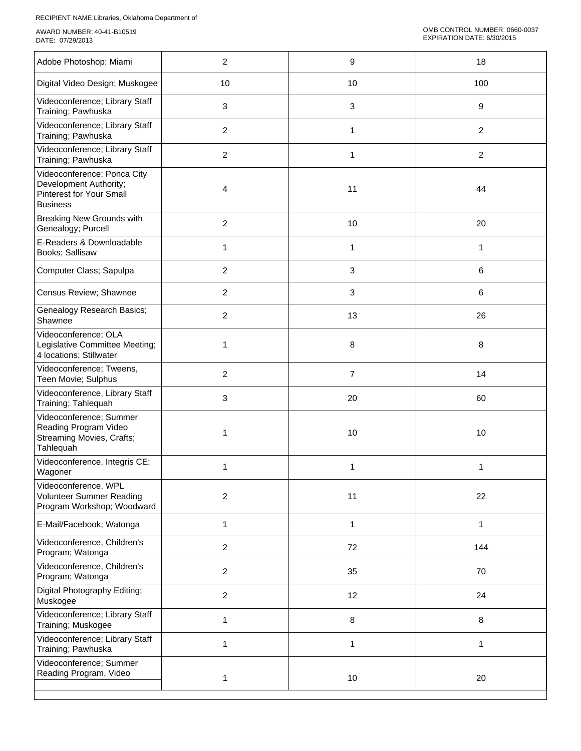| Adobe Photoshop; Miami                                                                                      | $\overline{2}$ | 9              | 18               |
|-------------------------------------------------------------------------------------------------------------|----------------|----------------|------------------|
| Digital Video Design; Muskogee                                                                              | 10             | 10             | 100              |
| Videoconference; Library Staff<br>Training; Pawhuska                                                        | 3              | $\mathbf{3}$   | 9                |
| Videoconference; Library Staff<br>Training; Pawhuska                                                        | $\overline{c}$ | $\mathbf{1}$   | $\overline{2}$   |
| Videoconference; Library Staff<br>Training; Pawhuska                                                        | $\overline{c}$ | 1              | $\boldsymbol{2}$ |
| Videoconference; Ponca City<br>Development Authority;<br><b>Pinterest for Your Small</b><br><b>Business</b> | 4              | 11             | 44               |
| <b>Breaking New Grounds with</b><br>Genealogy; Purcell                                                      | $\overline{2}$ | 10             | 20               |
| E-Readers & Downloadable<br>Books; Sallisaw                                                                 | 1              | $\mathbf{1}$   | 1                |
| Computer Class; Sapulpa                                                                                     | $\overline{c}$ | 3              | 6                |
| Census Review; Shawnee                                                                                      | $\overline{2}$ | 3              | 6                |
| Genealogy Research Basics;<br>Shawnee                                                                       | $\overline{c}$ | 13             | 26               |
| Videoconference; OLA<br>Legislative Committee Meeting;<br>4 locations; Stillwater                           | 1              | 8              | $\,8\,$          |
| Videoconference; Tweens,<br>Teen Movie; Sulphus                                                             | $\overline{c}$ | $\overline{7}$ | 14               |
| Videoconference, Library Staff<br>Training; Tahlequah                                                       | 3              | 20             | 60               |
| Videoconference; Summer<br>Reading Program Video<br><b>Streaming Movies, Crafts;</b><br>Tahlequah           | 1              | 10             | 10               |
| Videoconference, Integris CE;<br>Wagoner                                                                    | 1              | $\mathbf{1}$   | 1                |
| Videoconference, WPL<br>Volunteer Summer Reading<br>Program Workshop; Woodward                              | $\overline{2}$ | 11             | 22               |
| E-Mail/Facebook; Watonga                                                                                    | 1              | 1              | $\mathbf{1}$     |
| Videoconference, Children's<br>Program; Watonga                                                             | $\overline{c}$ | 72             | 144              |
| Videoconference, Children's<br>Program; Watonga                                                             | $\overline{2}$ | 35             | 70               |
| Digital Photography Editing;<br>Muskogee                                                                    | $\overline{c}$ | 12             | 24               |
| Videoconference; Library Staff<br>Training; Muskogee                                                        | 1              | 8              | $\bf 8$          |
| Videoconference; Library Staff<br>Training; Pawhuska                                                        | 1              | 1              | 1                |
| Videoconference; Summer<br>Reading Program, Video                                                           | 1              | $10$           | 20               |
|                                                                                                             |                |                |                  |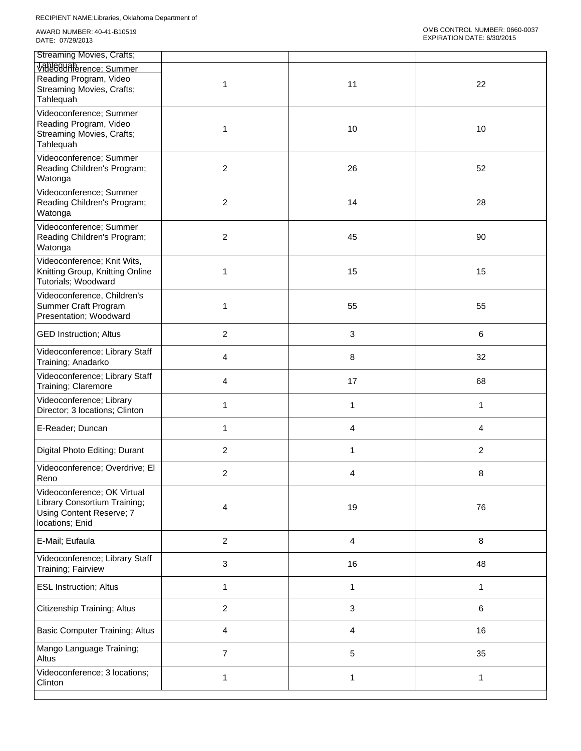| <b>Streaming Movies, Crafts;</b>                                                                           |                |    |         |
|------------------------------------------------------------------------------------------------------------|----------------|----|---------|
| VRN88UARerence; Summer<br>Reading Program, Video<br><b>Streaming Movies, Crafts;</b><br>Tahlequah          | 1              | 11 | 22      |
| Videoconference; Summer<br>Reading Program, Video<br>Streaming Movies, Crafts;<br>Tahlequah                | 1              | 10 | 10      |
| Videoconference; Summer<br>Reading Children's Program;<br>Watonga                                          | $\overline{c}$ | 26 | 52      |
| Videoconference; Summer<br>Reading Children's Program;<br>Watonga                                          | 2              | 14 | 28      |
| Videoconference; Summer<br>Reading Children's Program;<br>Watonga                                          | 2              | 45 | 90      |
| Videoconference; Knit Wits,<br>Knitting Group, Knitting Online<br>Tutorials; Woodward                      | 1              | 15 | 15      |
| Videoconference, Children's<br>Summer Craft Program<br>Presentation; Woodward                              | 1              | 55 | 55      |
| <b>GED Instruction; Altus</b>                                                                              | $\overline{c}$ | 3  | $\,6\,$ |
| Videoconference; Library Staff<br>Training; Anadarko                                                       | 4              | 8  | 32      |
| Videoconference; Library Staff<br>Training; Claremore                                                      | 4              | 17 | 68      |
| Videoconference; Library<br>Director; 3 locations; Clinton                                                 | 1              | 1  | 1       |
| E-Reader; Duncan                                                                                           | 1              | 4  | 4       |
| Digital Photo Editing; Durant                                                                              | 2              | 1  | 2       |
| Videoconference; Overdrive; El<br>Reno                                                                     | $\overline{2}$ | 4  | 8       |
| Videoconference; OK Virtual<br>Library Consortium Training;<br>Using Content Reserve; 7<br>locations; Enid | 4              | 19 | 76      |
| E-Mail; Eufaula                                                                                            | $\overline{c}$ | 4  | $\,8\,$ |
| Videoconference; Library Staff<br>Training; Fairview                                                       | 3              | 16 | 48      |
| <b>ESL Instruction; Altus</b>                                                                              | 1              | 1  | 1       |
| Citizenship Training; Altus                                                                                | $\overline{c}$ | 3  | $\,6\,$ |
| <b>Basic Computer Training; Altus</b>                                                                      | 4              | 4  | 16      |
| Mango Language Training;<br>Altus                                                                          | 7              | 5  | 35      |
| Videoconference; 3 locations;<br>Clinton                                                                   | 1              | 1  | 1       |
|                                                                                                            |                |    |         |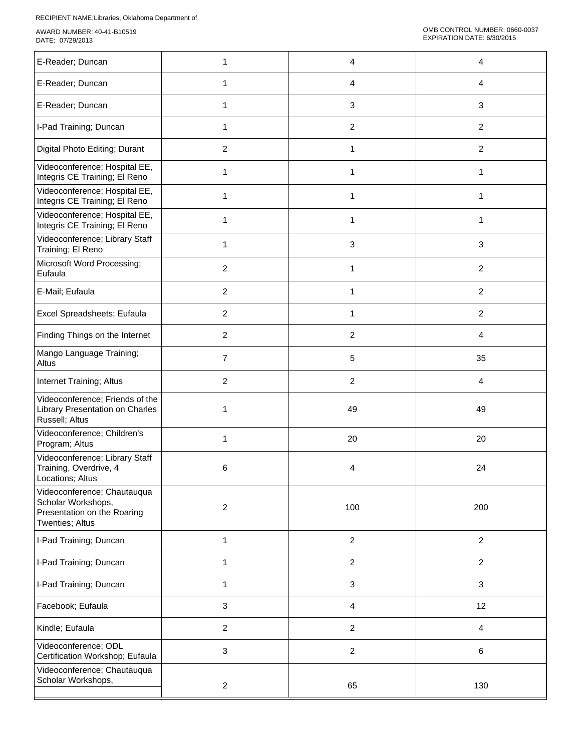| E-Reader; Duncan                                                                                    | 1              | 4                         | 4              |
|-----------------------------------------------------------------------------------------------------|----------------|---------------------------|----------------|
| E-Reader; Duncan                                                                                    | 1              | 4                         | 4              |
| E-Reader; Duncan                                                                                    | 1              | 3                         | 3              |
| I-Pad Training; Duncan                                                                              | 1              | $\overline{c}$            | $\overline{2}$ |
| Digital Photo Editing; Durant                                                                       | 2              | 1                         | $\overline{2}$ |
| Videoconference; Hospital EE,<br>Integris CE Training; El Reno                                      | 1              | 1                         | 1              |
| Videoconference; Hospital EE,<br>Integris CE Training; El Reno                                      | 1              | 1                         | 1              |
| Videoconference; Hospital EE,<br>Integris CE Training; El Reno                                      | 1              | 1                         | 1              |
| Videoconference; Library Staff<br>Training; El Reno                                                 | 1              | $\ensuremath{\mathsf{3}}$ | $\mathbf{3}$   |
| Microsoft Word Processing;<br>Eufaula                                                               | $\overline{2}$ | 1                         | $\overline{2}$ |
| E-Mail; Eufaula                                                                                     | $\overline{2}$ | 1                         | $\overline{2}$ |
| Excel Spreadsheets; Eufaula                                                                         | $\overline{c}$ | 1                         | $\overline{2}$ |
| Finding Things on the Internet                                                                      | $\overline{2}$ | $\overline{c}$            | 4              |
| Mango Language Training;<br>Altus                                                                   | $\overline{7}$ | 5                         | 35             |
| Internet Training; Altus                                                                            | $\overline{c}$ | $\overline{c}$            | 4              |
| Videoconference; Friends of the<br>Library Presentation on Charles<br>Russell; Altus                | 1              | 49                        | 49             |
| Videoconference; Children's<br>Program; Altus                                                       | 1              | 20                        | 20             |
| Videoconference; Library Staff<br>Training, Overdrive, 4<br>Locations; Altus                        | 6              | 4                         | 24             |
| Videoconference; Chautauqua<br>Scholar Workshops,<br>Presentation on the Roaring<br>Twenties; Altus | $\overline{c}$ | 100                       | 200            |
| I-Pad Training; Duncan                                                                              | $\mathbf{1}$   | $\overline{c}$            | $\overline{2}$ |
| I-Pad Training; Duncan                                                                              | $\mathbf{1}$   | $\overline{c}$            | $\overline{2}$ |
| I-Pad Training; Duncan                                                                              | 1              | $\mathbf{3}$              | $\mathbf{3}$   |
| Facebook; Eufaula                                                                                   | 3              | 4                         | 12             |
| Kindle; Eufaula                                                                                     | $\overline{a}$ | $\overline{c}$            | $\overline{4}$ |
| Videoconference; ODL<br>Certification Workshop; Eufaula                                             | 3              | $\overline{c}$            | 6              |
| Videoconference; Chautauqua<br>Scholar Workshops,                                                   | $\overline{a}$ | 65                        | 130            |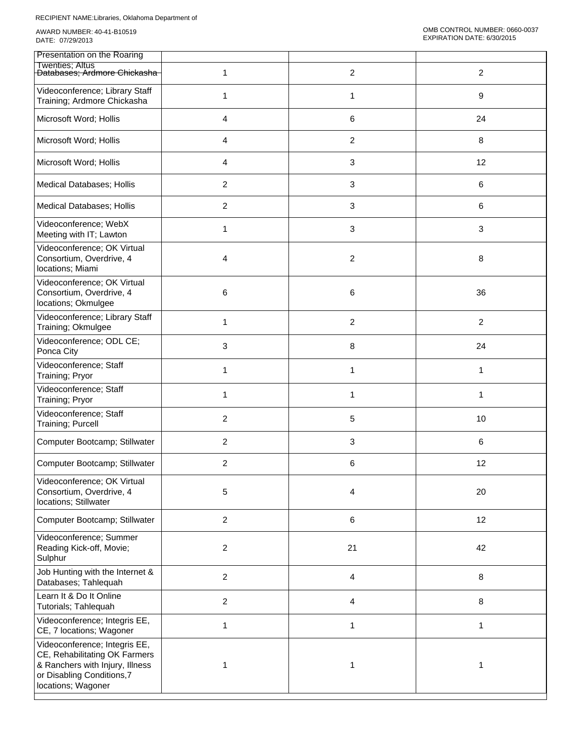| Presentation on the Roaring                                                                                                                          |                |                |                |
|------------------------------------------------------------------------------------------------------------------------------------------------------|----------------|----------------|----------------|
| Twenties; Altus<br><del>Databases; Ardmore Chickasha</del>                                                                                           | 1              | $\overline{c}$ | $\overline{2}$ |
| Videoconference; Library Staff<br>Training; Ardmore Chickasha                                                                                        | 1              | 1              | 9              |
| Microsoft Word; Hollis                                                                                                                               | 4              | 6              | 24             |
| Microsoft Word; Hollis                                                                                                                               | 4              | 2              | 8              |
| Microsoft Word; Hollis                                                                                                                               | 4              | 3              | 12             |
| Medical Databases; Hollis                                                                                                                            | $\overline{2}$ | 3              | 6              |
| Medical Databases; Hollis                                                                                                                            | $\overline{2}$ | 3              | 6              |
| Videoconference; WebX<br>Meeting with IT; Lawton                                                                                                     | 1              | 3              | 3              |
| Videoconference; OK Virtual<br>Consortium, Overdrive, 4<br>locations; Miami                                                                          | 4              | 2              | 8              |
| Videoconference; OK Virtual<br>Consortium, Overdrive, 4<br>locations; Okmulgee                                                                       | 6              | 6              | 36             |
| Videoconference; Library Staff<br>Training; Okmulgee                                                                                                 | 1              | 2              | $\overline{c}$ |
| Videoconference; ODL CE;<br>Ponca City                                                                                                               | 3              | 8              | 24             |
| Videoconference; Staff<br>Training; Pryor                                                                                                            | 1              | $\mathbf{1}$   | $\mathbf{1}$   |
| Videoconference; Staff<br>Training; Pryor                                                                                                            | 1              | 1              | 1              |
| Videoconference; Staff<br>Training; Purcell                                                                                                          | $\overline{2}$ | 5              | 10             |
| Computer Bootcamp; Stillwater                                                                                                                        | $\overline{c}$ | 3              | 6              |
| Computer Bootcamp; Stillwater                                                                                                                        | 2              | 6              | 12             |
| Videoconference; OK Virtual<br>Consortium, Overdrive, 4<br>locations; Stillwater                                                                     | 5              | 4              | 20             |
| Computer Bootcamp; Stillwater                                                                                                                        | $\overline{2}$ | $\,6$          | 12             |
| Videoconference; Summer<br>Reading Kick-off, Movie;<br>Sulphur                                                                                       | $\overline{c}$ | 21             | 42             |
| Job Hunting with the Internet &<br>Databases; Tahlequah                                                                                              | $\overline{2}$ | 4              | 8              |
| Learn It & Do It Online<br>Tutorials; Tahlequah                                                                                                      | $\overline{c}$ | 4              | 8              |
| Videoconference; Integris EE,<br>CE, 7 locations; Wagoner                                                                                            | 1              | 1              | 1              |
| Videoconference; Integris EE,<br>CE, Rehabilitating OK Farmers<br>& Ranchers with Injury, Illness<br>or Disabling Conditions,7<br>locations; Wagoner | 1              | 1              | 1              |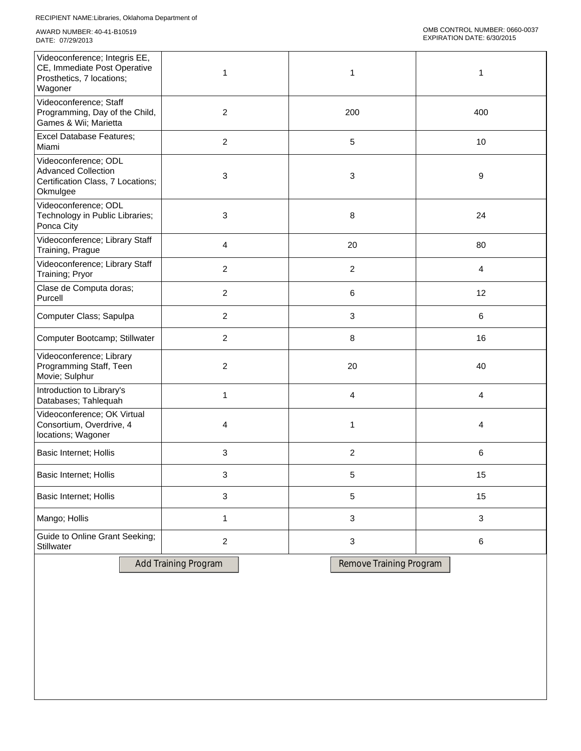| Videoconference; Integris EE,<br>CE, Immediate Post Operative<br>Prosthetics, 7 locations;<br>Wagoner | 1              | 1              | 1            |
|-------------------------------------------------------------------------------------------------------|----------------|----------------|--------------|
| Videoconference; Staff<br>Programming, Day of the Child,<br>Games & Wii; Marietta                     | $\overline{c}$ | 200            | 400          |
| <b>Excel Database Features;</b><br>Miami                                                              | $\overline{c}$ | $\sqrt{5}$     | 10           |
| Videoconference; ODL<br><b>Advanced Collection</b><br>Certification Class, 7 Locations;<br>Okmulgee   | 3              | $\mathbf{3}$   | 9            |
| Videoconference; ODL<br>Technology in Public Libraries;<br>Ponca City                                 | 3              | 8              | 24           |
| Videoconference; Library Staff<br>Training, Prague                                                    | 4              | 20             | 80           |
| Videoconference; Library Staff<br>Training; Pryor                                                     | $\overline{2}$ | $\overline{2}$ | 4            |
| Clase de Computa doras;<br>Purcell                                                                    | $\overline{2}$ | 6              | 12           |
| Computer Class; Sapulpa                                                                               | $\overline{2}$ | $\mathbf{3}$   | $\,6\,$      |
| Computer Bootcamp; Stillwater                                                                         | $\overline{c}$ | 8              | 16           |
| Videoconference; Library<br>Programming Staff, Teen<br>Movie; Sulphur                                 | $\overline{c}$ | 20             | 40           |
| Introduction to Library's<br>Databases; Tahlequah                                                     | 1              | 4              | 4            |
| Videoconference; OK Virtual<br>Consortium, Overdrive, 4<br>locations; Wagoner                         | 4              | 1              | 4            |
| Basic Internet; Hollis                                                                                | 3              | $\overline{2}$ | $\,6$        |
| Basic Internet; Hollis                                                                                | 3              | 5              | 15           |
| <b>Basic Internet; Hollis</b>                                                                         | $\mathbf{3}$   | $\sqrt{5}$     | 15           |
| Mango; Hollis                                                                                         | $\mathbf{1}$   | $\sqrt{3}$     | $\mathbf{3}$ |
| Guide to Online Grant Seeking;<br>Stillwater                                                          | $\overline{c}$ | $\sqrt{3}$     | $\,6\,$      |
|                                                                                                       |                |                |              |

Add Training Program Remove Training Program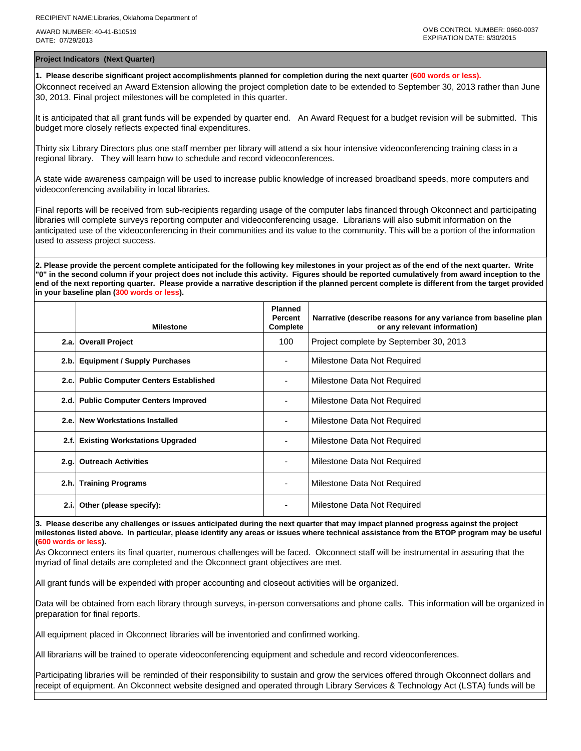**Project Indicators (Next Quarter)**

**1. Please describe significant project accomplishments planned for completion during the next quarter (600 words or less).** Okconnect received an Award Extension allowing the project completion date to be extended to September 30, 2013 rather than June 30, 2013. Final project milestones will be completed in this quarter.

It is anticipated that all grant funds will be expended by quarter end. An Award Request for a budget revision will be submitted. This budget more closely reflects expected final expenditures.

Thirty six Library Directors plus one staff member per library will attend a six hour intensive videoconferencing training class in a regional library. They will learn how to schedule and record videoconferences.

A state wide awareness campaign will be used to increase public knowledge of increased broadband speeds, more computers and videoconferencing availability in local libraries.

Final reports will be received from sub-recipients regarding usage of the computer labs financed through Okconnect and participating libraries will complete surveys reporting computer and videoconferencing usage. Librarians will also submit information on the anticipated use of the videoconferencing in their communities and its value to the community. This will be a portion of the information used to assess project success.

**2. Please provide the percent complete anticipated for the following key milestones in your project as of the end of the next quarter. Write "0" in the second column if your project does not include this activity. Figures should be reported cumulatively from award inception to the end of the next reporting quarter. Please provide a narrative description if the planned percent complete is different from the target provided in your baseline plan (300 words or less).**

|      | <b>Milestone</b>                         | <b>Planned</b><br><b>Percent</b><br>Complete | Narrative (describe reasons for any variance from baseline plan<br>or any relevant information) |
|------|------------------------------------------|----------------------------------------------|-------------------------------------------------------------------------------------------------|
|      | 2.a. Overall Project                     |                                              | Project complete by September 30, 2013                                                          |
| 2.b. | <b>Equipment / Supply Purchases</b>      |                                              | Milestone Data Not Required                                                                     |
|      | 2.c. Public Computer Centers Established |                                              | Milestone Data Not Required                                                                     |
|      | 2.d. Public Computer Centers Improved    |                                              | Milestone Data Not Required                                                                     |
| 2.e. | <b>New Workstations Installed</b>        |                                              | Milestone Data Not Required                                                                     |
| 2.f. | <b>Existing Workstations Upgraded</b>    |                                              | Milestone Data Not Required                                                                     |
| 2.g. | <b>Outreach Activities</b>               |                                              | Milestone Data Not Required                                                                     |
| 2.h. | <b>Training Programs</b>                 | ٠                                            | Milestone Data Not Required                                                                     |
| 2.i. | Other (please specify):                  | ٠                                            | Milestone Data Not Required                                                                     |

**3. Please describe any challenges or issues anticipated during the next quarter that may impact planned progress against the project milestones listed above. In particular, please identify any areas or issues where technical assistance from the BTOP program may be useful (600 words or less).**

As Okconnect enters its final quarter, numerous challenges will be faced. Okconnect staff will be instrumental in assuring that the myriad of final details are completed and the Okconnect grant objectives are met.

All grant funds will be expended with proper accounting and closeout activities will be organized.

Data will be obtained from each library through surveys, in-person conversations and phone calls. This information will be organized in preparation for final reports.

All equipment placed in Okconnect libraries will be inventoried and confirmed working.

All librarians will be trained to operate videoconferencing equipment and schedule and record videoconferences.

Participating libraries will be reminded of their responsibility to sustain and grow the services offered through Okconnect dollars and receipt of equipment. An Okconnect website designed and operated through Library Services & Technology Act (LSTA) funds will be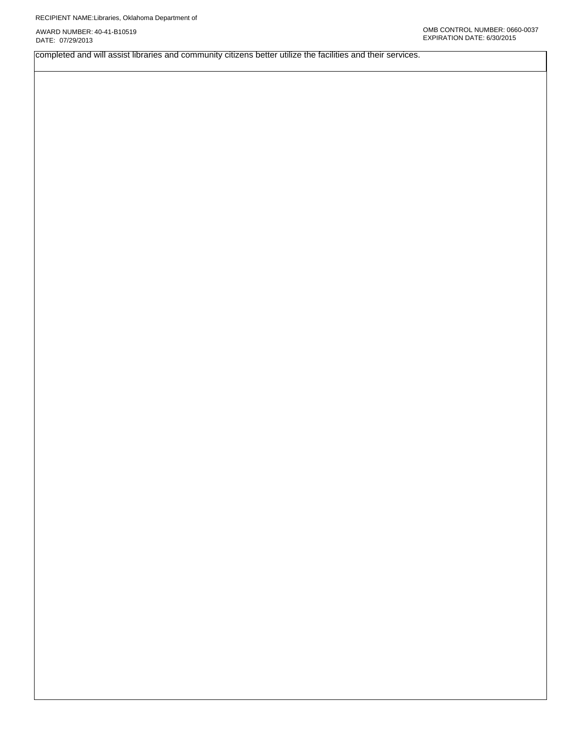completed and will assist libraries and community citizens better utilize the facilities and their services.